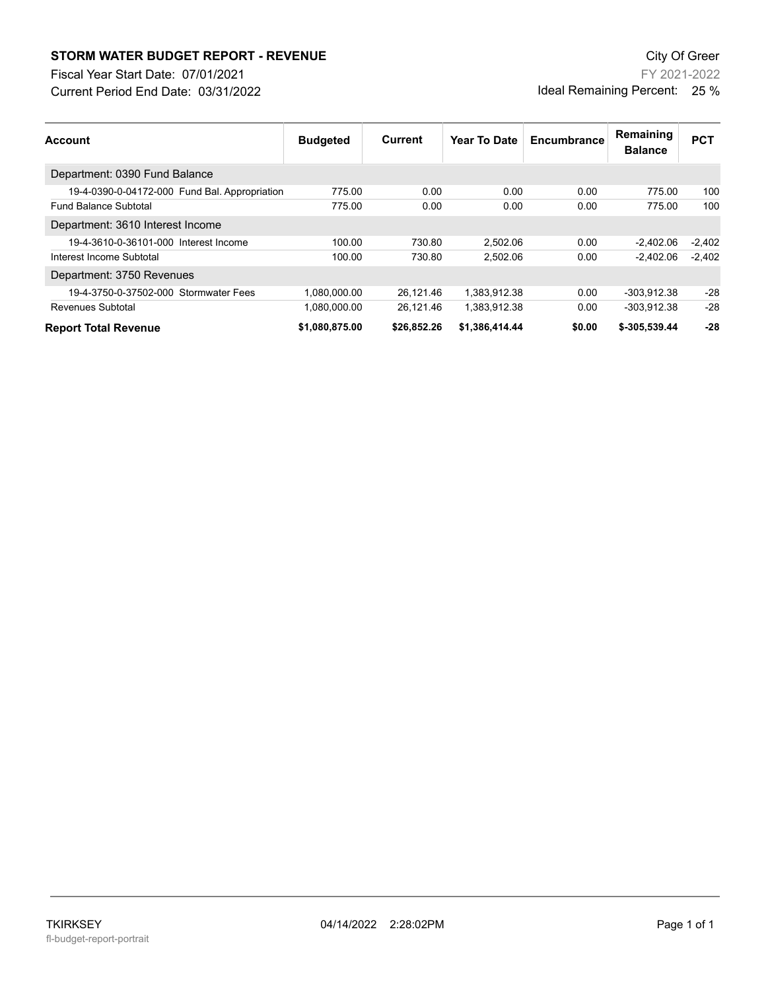## **STORM WATER BUDGET REPORT - REVENUE CONSUMPTER BUDGET REPORT - REVENUE**

Current Period End Date: 03/31/2022 Fiscal Year Start Date: 07/01/2021

FY 2021-2022 Ideal Remaining Percent: 25 %

| <b>Account</b>                                | <b>Budgeted</b> | Current     | Year To Date   | Encumbrance | Remaining<br><b>Balance</b> | <b>PCT</b> |
|-----------------------------------------------|-----------------|-------------|----------------|-------------|-----------------------------|------------|
| Department: 0390 Fund Balance                 |                 |             |                |             |                             |            |
| 19-4-0390-0-04172-000 Fund Bal. Appropriation | 775.00          | 0.00        | 0.00           | 0.00        | 775.00                      | 100        |
| <b>Fund Balance Subtotal</b>                  | 775.00          | 0.00        | 0.00           | 0.00        | 775.00                      | 100        |
| Department: 3610 Interest Income              |                 |             |                |             |                             |            |
| 19-4-3610-0-36101-000 Interest Income         | 100.00          | 730.80      | 2.502.06       | 0.00        | $-2.402.06$                 | $-2.402$   |
| Interest Income Subtotal                      | 100.00          | 730.80      | 2.502.06       | 0.00        | $-2.402.06$                 | $-2.402$   |
| Department: 3750 Revenues                     |                 |             |                |             |                             |            |
| 19-4-3750-0-37502-000 Stormwater Fees         | 1,080,000.00    | 26.121.46   | 1.383.912.38   | 0.00        | -303.912.38                 | $-28$      |
| Revenues Subtotal                             | 1.080.000.00    | 26.121.46   | 1.383.912.38   | 0.00        | -303.912.38                 | $-28$      |
| <b>Report Total Revenue</b>                   | \$1,080,875.00  | \$26,852.26 | \$1,386,414.44 | \$0.00      | \$-305,539.44               | $-28$      |